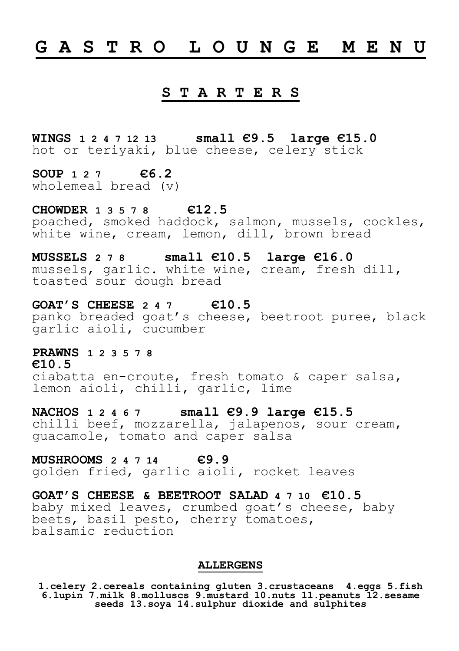## **G A S T R O L O U N G E M E N U**

## **S T A R T E R S**

**WINGS 1 2 4 7 12 13 small €9.5 large €15.0** hot or teriyaki, blue cheese, celery stick

**SOUP 1 2 7 €6.2**  wholemeal bread (v)

**CHOWDER 1 3 5 7 8 €12.5** 

poached, smoked haddock, salmon, mussels, cockles, white wine, cream, lemon, dill, brown bread

**MUSSELS 2 7 8 small €10.5 large €16.0**  mussels, garlic. white wine, cream, fresh dill,

toasted sour dough bread

**GOAT'S CHEESE 2 4 7 €10.5** 

panko breaded goat's cheese, beetroot puree, black garlic aioli, cucumber

## **PRAWNS 1 2 3 5 7 8**

**€10.5**  ciabatta en-croute, fresh tomato & caper salsa, lemon aioli, chilli, garlic, lime

**NACHOS 1 2 4 6 7 small €9.9 large €15.5**  chilli beef, mozzarella, jalapenos, sour cream, guacamole, tomato and caper salsa

**MUSHROOMS 2 4 7 14 €9.9**  golden fried, garlic aioli, rocket leaves

**GOAT'S CHEESE & BEETROOT SALAD 4 7 10 €10.5**  baby mixed leaves, crumbed goat's cheese, baby beets, basil pesto, cherry tomatoes, balsamic reduction

#### **ALLERGENS**

**1.celery 2.cereals containing gluten 3.crustaceans 4.eggs 5.fish 6.lupin 7.milk 8.molluscs 9.mustard 10.nuts 11.peanuts 12.sesame seeds 13.soya 14.sulphur dioxide and sulphites**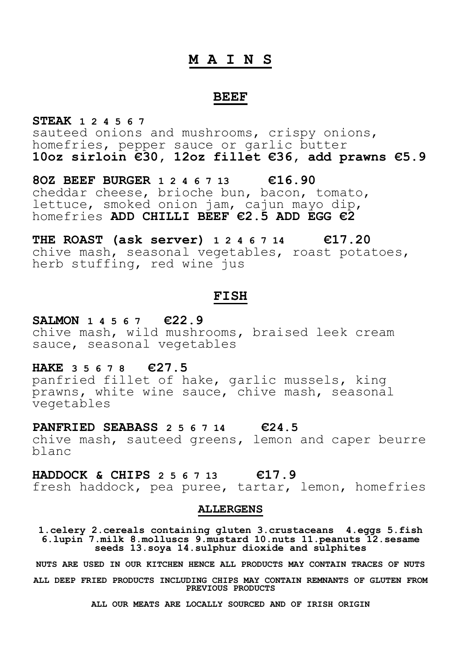### **M A I N S**

#### **BEEF**

**STEAK 1 2 4 5 6 7** sauteed onions and mushrooms, crispy onions, homefries, pepper sauce or garlic butter **10oz sirloin €30, 12oz fillet €36, add prawns €5.9**

**8OZ BEEF BURGER 1 2 4 6 7 13 €16.90**  cheddar cheese, brioche bun, bacon, tomato, lettuce, smoked onion jam, cajun mayo dip, homefries **ADD CHILLI BEEF €2.5 ADD EGG €2**

**THE ROAST (ask server) 1 2 4 6 7 14 €17.20**  chive mash, seasonal vegetables, roast potatoes, herb stuffing, red wine jus

## **FISH**

#### **SALMON 1 4 5 6 7 €22.9**

chive mash, wild mushrooms, braised leek cream sauce, seasonal vegetables

#### **HAKE 3 5 6 7 8 €27.5**

panfried fillet of hake, garlic mussels, king .<br>prawns, white wine sauce, chive mash, seasonal vegetables

**PANFRIED SEABASS 2 5 6 7 14 €24.5**  chive mash, sauteed greens, lemon and caper beurre blanc

### **HADDOCK & CHIPS 2 5 6 7 13 €17.9**

fresh haddock, pea puree, tartar, lemon, homefries

#### **ALLERGENS**

**1.celery 2.cereals containing gluten 3.crustaceans 4.eggs 5.fish 6.lupin 7.milk 8.molluscs 9.mustard 10.nuts 11.peanuts 12.sesame seeds 13.soya 14.sulphur dioxide and sulphites**

**NUTS ARE USED IN OUR KITCHEN HENCE ALL PRODUCTS MAY CONTAIN TRACES OF NUTS**

**ALL DEEP FRIED PRODUCTS INCLUDING CHIPS MAY CONTAIN REMNANTS OF GLUTEN FROM PREVIOUS PRODUCTS**

**ALL OUR MEATS ARE LOCALLY SOURCED AND OF IRISH ORIGIN**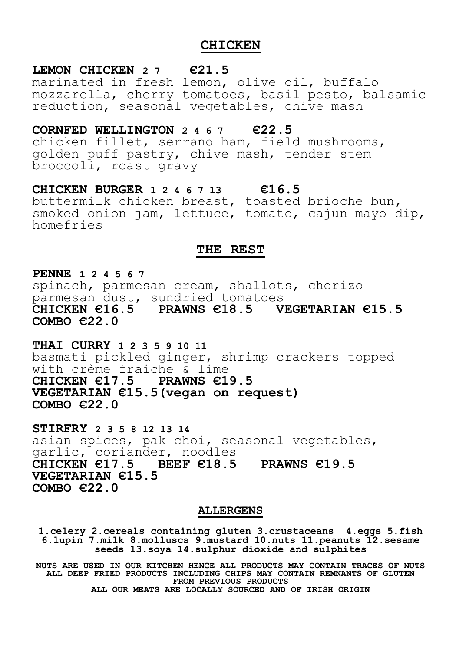## **CHICKEN**

#### **LEMON CHICKEN 2 7 €21.5**

marinated in fresh lemon, olive oil, buffalo mozzarella, cherry tomatoes, basil pesto, balsamic reduction, seasonal vegetables, chive mash

## **CORNFED WELLINGTON 2 4 6 7 €22.5**

chicken fillet, serrano ham, field mushrooms, golden puff pastry, chive mash, tender stem broccoli, roast gravy

**CHICKEN BURGER 1 2 4 6 7 13 €16.5**  buttermilk chicken breast, toasted brioche bun, smoked onion jam, lettuce, tomato, cajun mayo dip, homefries

#### **THE REST**

**PENNE 1 2 4 5 6 7** 

spinach, parmesan cream, shallots, chorizo parmesan dust, sundried tomatoes<br>CHICKEN €16.5 PRAWNS €18.5 V **CHICKEN €16.5 PRAWNS €18.5 VEGETARIAN €15.5 COMBO €22.0**

**THAI CURRY 1 2 3 5 9 10 11** basmati pickled ginger, shrimp crackers topped with crème fraiche & lime **CHICKEN €17.5 PRAWNS €19.5 VEGETARIAN €15.5(vegan on request) COMBO €22.0**

**STIRFRY 2 3 5 8 12 13 14** asian spices, pak choi, seasonal vegetables, garlic, coriander, noodles **CHICKEN €17.5 BEEF €18.5 PRAWNS €19.5 VEGETARIAN €15.5 COMBO €22.0**

#### **ALLERGENS**

**1.celery 2.cereals containing gluten 3.crustaceans 4.eggs 5.fish 6.lupin 7.milk 8.molluscs 9.mustard 10.nuts 11.peanuts 12.sesame seeds 13.soya 14.sulphur dioxide and sulphites**

**NUTS ARE USED IN OUR KITCHEN HENCE ALL PRODUCTS MAY CONTAIN TRACES OF NUTS ALL DEEP FRIED PRODUCTS INCLUDING CHIPS MAY CONTAIN REMNANTS OF GLUTEN FROM PREVIOUS PRODUCTS ALL OUR MEATS ARE LOCALLY SOURCED AND OF IRISH ORIGIN**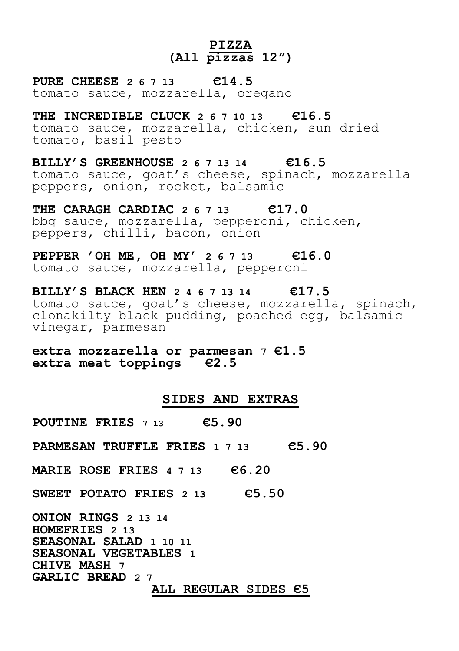## **PIZZA (All pizzas 12")**

**PURE CHEESE 2 6 7 13 €14.5**  tomato sauce, mozzarella, oregano

**THE INCREDIBLE CLUCK 2 6 7 10 13 €16.5**  tomato sauce, mozzarella, chicken, sun dried tomato, basil pesto

**BILLY'S GREENHOUSE 2 6 7 13 14 €16.5**  tomato sauce, goat's cheese, spinach, mozzarella peppers, onion, rocket, balsamic

**THE CARAGH CARDIAC 2 6 7 13 €17.0**  bbq sauce, mozzarella, pepperoni, chicken, peppers, chilli, bacon, onion

**PEPPER 'OH ME, OH MY' 2 6 7 13 €16.0**  tomato sauce, mozzarella, pepperoni

**BILLY'S BLACK HEN 2 4 6 7 13 14 €17.5**  tomato sauce, goat's cheese, mozzarella, spinach, clonakilty black pudding, poached egg, balsamic vinegar, parmesan

**extra mozzarella or parmesan 7 €1.5 extra meat toppings €2.5** 

#### **SIDES AND EXTRAS**

**POUTINE FRIES 7 13 €5.90**

**PARMESAN TRUFFLE FRIES 1 7 13 €5.90**

**MARIE ROSE FRIES 4 7 13 €6.20**

**SWEET POTATO FRIES 2 13 €5.50**

**ONION RINGS 2 13 14 HOMEFRIES 2 13 SEASONAL SALAD 1 10 11 SEASONAL VEGETABLES 1 CHIVE MASH 7 GARLIC BREAD 2 7 ALL REGULAR SIDES €5**